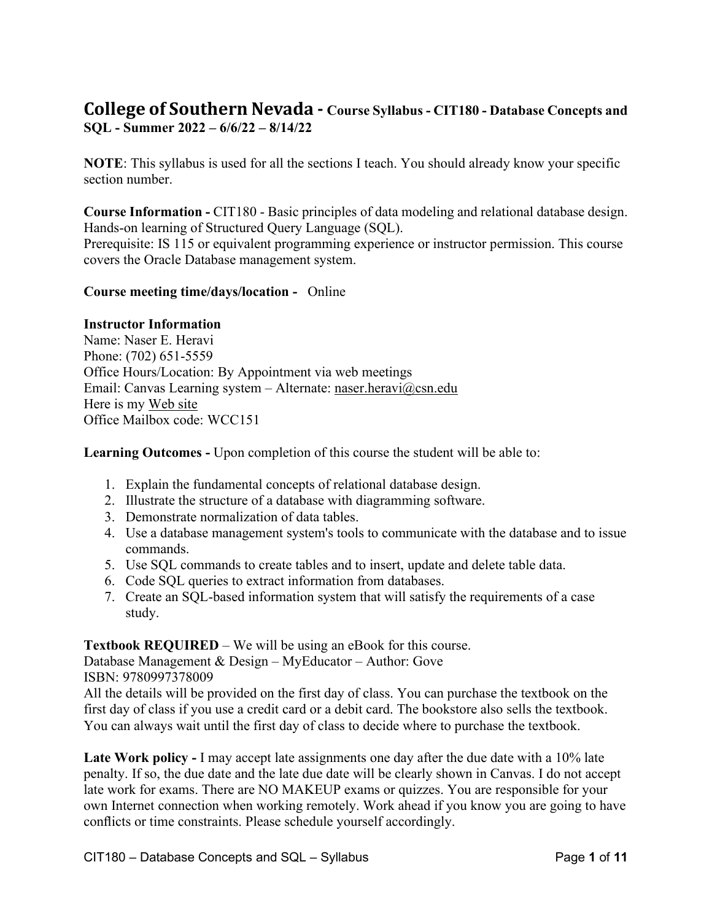# **College of Southern Nevada - Course Syllabus - CIT180 - Database Concepts and SQL - Summer 2022 – 6/6/22 – 8/14/22**

**NOTE**: This syllabus is used for all the sections I teach. You should already know your specific section number.

**Course Information -** CIT180 - Basic principles of data modeling and relational database design. Hands-on learning of Structured Query Language (SQL). Prerequisite: IS 115 or equivalent programming experience or instructor permission. This course covers the Oracle Database management system.

### **Course meeting time/days/location -** Online

#### **Instructor Information**

Name: Naser E. Heravi Phone: (702) 651-5559 Office Hours/Location: By Appointment via web meetings Email: Canvas Learning system – Alternate: [naser.heravi@csn.edu](mailto:naser.heravi@csn.edu) Here is my [Web site](http://bellagio.csn.edu/%7Enheravi/courses/) Office Mailbox code: WCC151

**Learning Outcomes -** Upon completion of this course the student will be able to:

- 1. Explain the fundamental concepts of relational database design.
- 2. Illustrate the structure of a database with diagramming software.
- 3. Demonstrate normalization of data tables.
- 4. Use a database management system's tools to communicate with the database and to issue commands.
- 5. Use SQL commands to create tables and to insert, update and delete table data.
- 6. Code SQL queries to extract information from databases.
- 7. Create an SQL-based information system that will satisfy the requirements of a case study.

**Textbook REQUIRED** – We will be using an eBook for this course.

Database Management & Design – MyEducator – Author: Gove ISBN: 9780997378009

All the details will be provided on the first day of class. You can purchase the textbook on the first day of class if you use a credit card or a debit card. The bookstore also sells the textbook. You can always wait until the first day of class to decide where to purchase the textbook.

Late Work policy - I may accept late assignments one day after the due date with a 10% late penalty. If so, the due date and the late due date will be clearly shown in Canvas. I do not accept late work for exams. There are NO MAKEUP exams or quizzes. You are responsible for your own Internet connection when working remotely. Work ahead if you know you are going to have conflicts or time constraints. Please schedule yourself accordingly.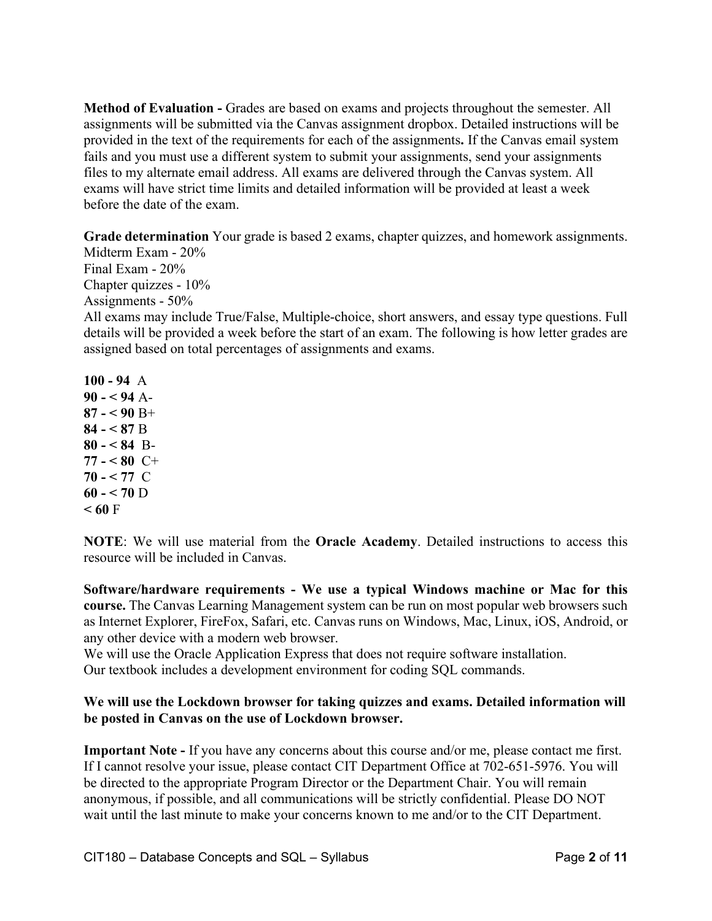**Method of Evaluation -** Grades are based on exams and projects throughout the semester. All assignments will be submitted via the Canvas assignment dropbox. Detailed instructions will be provided in the text of the requirements for each of the assignments**.** If the Canvas email system fails and you must use a different system to submit your assignments, send your assignments files to my alternate email address. All exams are delivered through the Canvas system. All exams will have strict time limits and detailed information will be provided at least a week before the date of the exam.

**Grade determination** Your grade is based 2 exams, chapter quizzes, and homework assignments.

Midterm Exam - 20% Final Exam - 20% Chapter quizzes - 10% Assignments - 50% All exams may include True/False, Multiple-choice, short answers, and essay type questions. Full details will be provided a week before the start of an exam. The following is how letter grades are assigned based on total percentages of assignments and exams.

**100 - 94** A **90 - < 94** A-**87 - < 90** B+ **84 - < 87** B **80 - < 84** B-**77 - < 80** C+  $70 - 577$  C **60 - < 70** D  $< 60 F$ 

**NOTE**: We will use material from the **Oracle Academy**. Detailed instructions to access this resource will be included in Canvas.

**Software/hardware requirements - We use a typical Windows machine or Mac for this course.** The Canvas Learning Management system can be run on most popular web browsers such as Internet Explorer, FireFox, Safari, etc. Canvas runs on Windows, Mac, Linux, iOS, Android, or any other device with a modern web browser.

We will use the Oracle Application Express that does not require software installation. Our textbook includes a development environment for coding SQL commands.

### **We will use the Lockdown browser for taking quizzes and exams. Detailed information will be posted in Canvas on the use of Lockdown browser.**

**Important Note -** If you have any concerns about this course and/or me, please contact me first. If I cannot resolve your issue, please contact CIT Department Office at 702-651-5976. You will be directed to the appropriate Program Director or the Department Chair. You will remain anonymous, if possible, and all communications will be strictly confidential. Please DO NOT wait until the last minute to make your concerns known to me and/or to the CIT Department.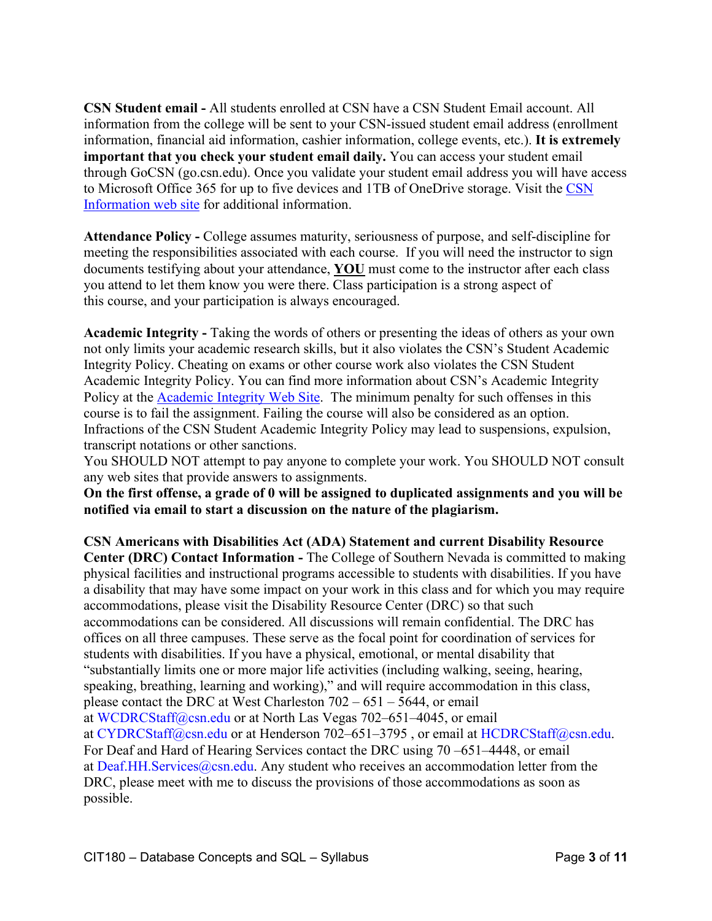**CSN Student email -** All students enrolled at CSN have a CSN Student Email account. All information from the college will be sent to your CSN-issued student email address (enrollment information, financial aid information, cashier information, college events, etc.). **It is extremely important that you check your student email daily.** You can access your student email through GoCSN (go.csn.edu). Once you validate your student email address you will have access to Microsoft Office 365 for up to five devices and 1TB of OneDrive storage. Visit the [CSN](http://www.csn.edu/email)  [Information web site](http://www.csn.edu/email) for additional information.

**Attendance Policy -** College assumes maturity, seriousness of purpose, and self-discipline for meeting the responsibilities associated with each course. If you will need the instructor to sign documents testifying about your attendance, **YOU** must come to the instructor after each class you attend to let them know you were there. Class participation is a strong aspect of this course, and your participation is always encouraged.

**Academic Integrity -** Taking the words of others or presenting the ideas of others as your own not only limits your academic research skills, but it also violates the CSN's Student Academic Integrity Policy. Cheating on exams or other course work also violates the CSN Student Academic Integrity Policy. You can find more information about CSN's Academic Integrity Policy at the [Academic Integrity Web Site.](https://at.csn.edu/documents/student-academic-integrity-policy) The minimum penalty for such offenses in this course is to fail the assignment. Failing the course will also be considered as an option. Infractions of the CSN Student Academic Integrity Policy may lead to suspensions, expulsion, transcript notations or other sanctions.

You SHOULD NOT attempt to pay anyone to complete your work. You SHOULD NOT consult any web sites that provide answers to assignments.

**On the first offense, a grade of 0 will be assigned to duplicated assignments and you will be notified via email to start a discussion on the nature of the plagiarism.**

**CSN Americans with Disabilities Act (ADA) Statement and current Disability Resource Center (DRC) Contact Information -** The College of Southern Nevada is committed to making physical facilities and instructional programs accessible to students with disabilities. If you have a disability that may have some impact on your work in this class and for which you may require accommodations, please visit the Disability Resource Center (DRC) so that such accommodations can be considered. All discussions will remain confidential. The DRC has offices on all three campuses. These serve as the focal point for coordination of services for students with disabilities. If you have a physical, emotional, or mental disability that "substantially limits one or more major life activities (including walking, seeing, hearing, speaking, breathing, learning and working)," and will require accommodation in this class, please contact the DRC at West Charleston 702 – 651 – 5644, or email at [WCDRCStaff@csn.edu](mailto:WCDRCStaff@csn.edu) or at North Las Vegas 702–651–4045, or email at [CYDRCStaff@csn.edu](mailto:CYDRCStaff@csn.edu) or at Henderson 702–651–3795 , or email at [HCDRCStaff@csn.edu.](mailto:HCDRCStaff@csn.edu) For Deaf and Hard of Hearing Services contact the DRC using 70 –651–4448, or email at Deaf.HH.Services $@c$ sn.edu. Any student who receives an accommodation letter from the DRC, please meet with me to discuss the provisions of those accommodations as soon as possible.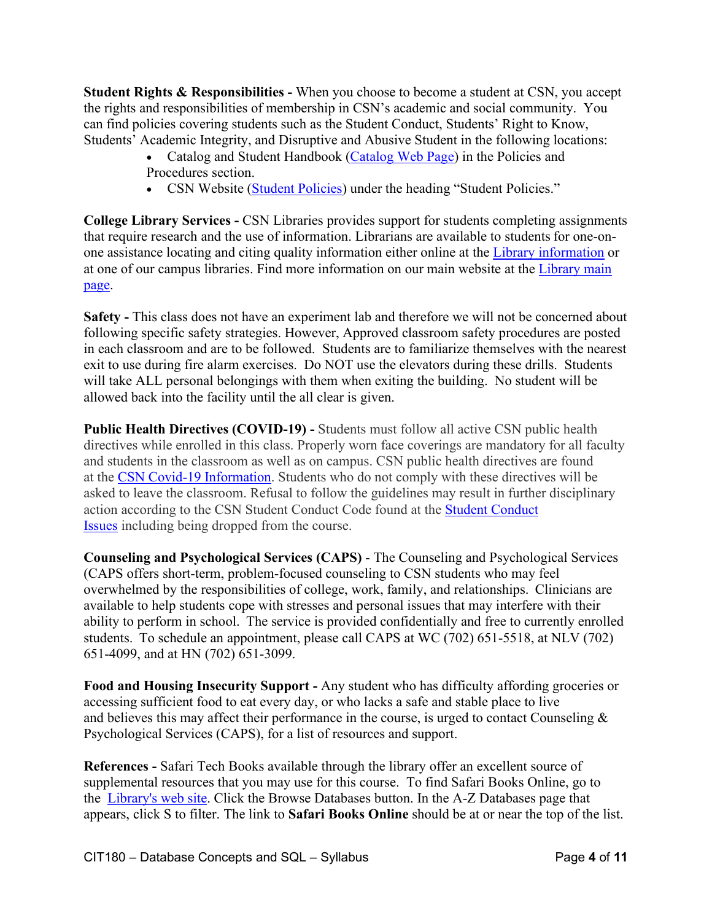**Student Rights & Responsibilities -** When you choose to become a student at CSN, you accept the rights and responsibilities of membership in CSN's academic and social community. You can find policies covering students such as the Student Conduct, Students' Right to Know, Students' Academic Integrity, and Disruptive and Abusive Student in the following locations:

- Catalog and Student Handbook [\(Catalog Web Page\)](https://www.csn.edu/catalog) in the Policies and Procedures section.
- CSN Website [\(Student Policies\)](https://www.csn.edu/policies-procedures) under the heading "Student Policies."

**College Library Services -** CSN Libraries provides support for students completing assignments that require research and the use of information. Librarians are available to students for one-onone assistance locating and citing quality information either online at the [Library information](https://library.csn.edu/ask/) or at one of our campus libraries. Find more information on our main website at the [Library main](https://library.csn.edu/)  [page.](https://library.csn.edu/)

**Safety -** This class does not have an experiment lab and therefore we will not be concerned about following specific safety strategies. However, Approved classroom safety procedures are posted in each classroom and are to be followed. Students are to familiarize themselves with the nearest exit to use during fire alarm exercises. Do NOT use the elevators during these drills. Students will take ALL personal belongings with them when exiting the building. No student will be allowed back into the facility until the all clear is given.

**Public Health Directives (COVID-19) - Students must follow all active CSN public health** directives while enrolled in this class. Properly worn face coverings are mandatory for all faculty and students in the classroom as well as on campus. CSN public health directives are found at the [CSN Covid-19 Information.](https://at.csn.edu/covid-19) Students who do not comply with these directives will be asked to leave the classroom. Refusal to follow the guidelines may result in further disciplinary action according to the CSN Student Conduct Code found at the [Student Conduct](https://www.csn.edu/sites/default/files/documents/student_conduct_code_policy_1.pdf)  [Issues](https://www.csn.edu/sites/default/files/documents/student_conduct_code_policy_1.pdf) including being dropped from the course.

**Counseling and Psychological Services (CAPS)** - The Counseling and Psychological Services (CAPS offers short-term, problem-focused counseling to CSN students who may feel overwhelmed by the responsibilities of college, work, family, and relationships.  Clinicians are available to help students cope with stresses and personal issues that may interfere with their ability to perform in school.  The service is provided confidentially and free to currently enrolled students.  To schedule an appointment, please call CAPS at WC (702) 651-5518, at NLV (702) 651-4099, and at HN (702) 651-3099.

**Food and Housing Insecurity Support -** Any student who has difficulty affording groceries or accessing sufficient food to eat every day, or who lacks a safe and stable place to live and believes this may affect their performance in the course, is urged to contact Counseling  $\&$ Psychological Services (CAPS), for a list of resources and support.

**References -** Safari Tech Books available through the library offer an excellent source of supplemental resources that you may use for this course. To find Safari Books Online, go to the Library's web site. Click the Browse Databases button. In the A-Z Databases page that appears, click S to filter. The link to **Safari Books Online** should be at or near the top of the list.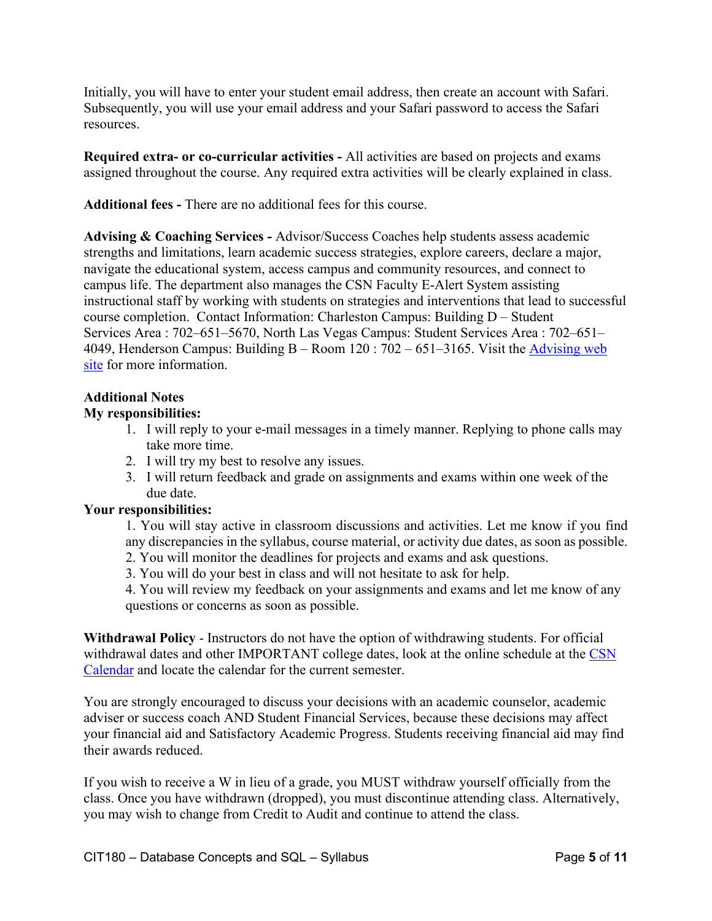Initially, you will have to enter your student email address, then create an account with Safari. Subsequently, you will use your email address and your Safari password to access the Safari resources.

**Required extra- or co-curricular activities -** All activities are based on projects and exams assigned throughout the course. Any required extra activities will be clearly explained in class.

**Additional fees -** There are no additional fees for this course.

**Advising & Coaching Services -** Advisor/Success Coaches help students assess academic strengths and limitations, learn academic success strategies, explore careers, declare a major, navigate the educational system, access campus and community resources, and connect to campus life. The department also manages the CSN Faculty E-Alert System assisting instructional staff by working with students on strategies and interventions that lead to successful course completion. Contact Information: Charleston Campus: Building D – Student Services Area : 702–651–5670, North Las Vegas Campus: Student Services Area : 702–651– 4049, Henderson Campus: Building B – Room 120 : 702 – 651–3165. Visit the [Advising web](https://www.csn.edu/advising)  [site](https://www.csn.edu/advising) for more information.

### **Additional Notes**

### **My responsibilities:**

- 1. I will reply to your e-mail messages in a timely manner. Replying to phone calls may take more time.
- 2. I will try my best to resolve any issues.
- 3. I will return feedback and grade on assignments and exams within one week of the due date.

### **Your responsibilities:**

1. You will stay active in classroom discussions and activities. Let me know if you find any discrepancies in the syllabus, course material, or activity due dates, as soon as possible.

- 2. You will monitor the deadlines for projects and exams and ask questions.
- 3. You will do your best in class and will not hesitate to ask for help.

4. You will review my feedback on your assignments and exams and let me know of any questions or concerns as soon as possible.

**Withdrawal Policy** - Instructors do not have the option of withdrawing students. For official withdrawal dates and other IMPORTANT college dates, look at the online schedule at the CSN [Calendar](https://www.csn.edu/calendar-catalog-schedule) and locate the calendar for the current semester.

You are strongly encouraged to discuss your decisions with an academic counselor, academic adviser or success coach AND Student Financial Services, because these decisions may affect your financial aid and Satisfactory Academic Progress. Students receiving financial aid may find their awards reduced.

If you wish to receive a W in lieu of a grade, you MUST withdraw yourself officially from the class. Once you have withdrawn (dropped), you must discontinue attending class. Alternatively, you may wish to change from Credit to Audit and continue to attend the class.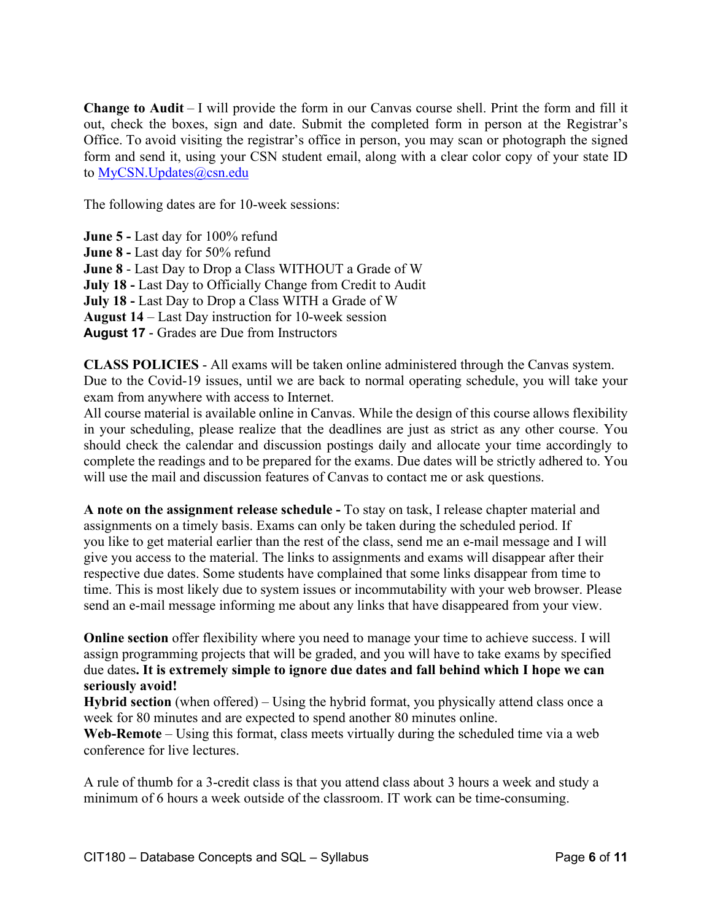**Change to Audit** – I will provide the form in our Canvas course shell. Print the form and fill it out, check the boxes, sign and date. Submit the completed form in person at the Registrar's Office. To avoid visiting the registrar's office in person, you may scan or photograph the signed form and send it, using your CSN student email, along with a clear color copy of your state ID to [MyCSN.Updates@csn.edu](mailto:MyCSN.Updates@csn.edu)

The following dates are for 10-week sessions:

**June 5 -** Last day for 100% refund

**June 8 -** Last day for 50% refund

**June 8** - Last Day to Drop a Class WITHOUT a Grade of W

**July 18 -** Last Day to Officially Change from Credit to Audit

**July 18 -** Last Day to Drop a Class WITH a Grade of W

**August 14** – Last Day instruction for 10-week session

**August 17** - Grades are Due from Instructors

**CLASS POLICIES** - All exams will be taken online administered through the Canvas system. Due to the Covid-19 issues, until we are back to normal operating schedule, you will take your exam from anywhere with access to Internet.

All course material is available online in Canvas. While the design of this course allows flexibility in your scheduling, please realize that the deadlines are just as strict as any other course. You should check the calendar and discussion postings daily and allocate your time accordingly to complete the readings and to be prepared for the exams. Due dates will be strictly adhered to. You will use the mail and discussion features of Canvas to contact me or ask questions.

**A note on the assignment release schedule -** To stay on task, I release chapter material and assignments on a timely basis. Exams can only be taken during the scheduled period. If you like to get material earlier than the rest of the class, send me an e-mail message and I will give you access to the material. The links to assignments and exams will disappear after their respective due dates. Some students have complained that some links disappear from time to time. This is most likely due to system issues or incommutability with your web browser. Please send an e-mail message informing me about any links that have disappeared from your view.

**Online section** offer flexibility where you need to manage your time to achieve success. I will assign programming projects that will be graded, and you will have to take exams by specified due dates**. It is extremely simple to ignore due dates and fall behind which I hope we can seriously avoid!**

**Hybrid section** (when offered) – Using the hybrid format, you physically attend class once a week for 80 minutes and are expected to spend another 80 minutes online.

**Web-Remote** – Using this format, class meets virtually during the scheduled time via a web conference for live lectures.

A rule of thumb for a 3-credit class is that you attend class about 3 hours a week and study a minimum of 6 hours a week outside of the classroom. IT work can be time-consuming.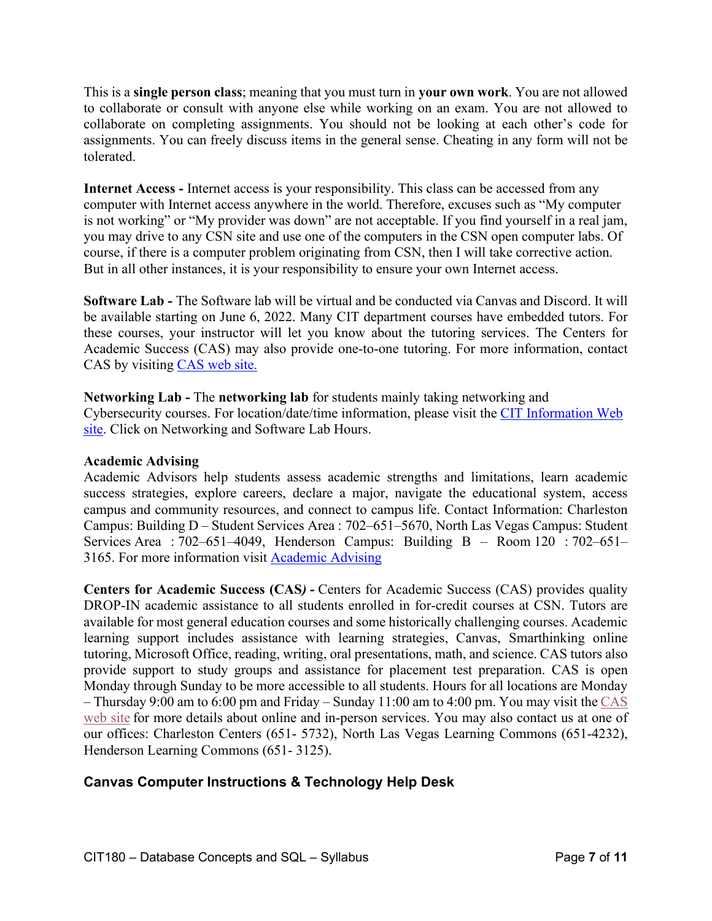This is a **single person class**; meaning that you must turn in **your own work**. You are not allowed to collaborate or consult with anyone else while working on an exam. You are not allowed to collaborate on completing assignments. You should not be looking at each other's code for assignments. You can freely discuss items in the general sense. Cheating in any form will not be tolerated.

**Internet Access -** Internet access is your responsibility. This class can be accessed from any computer with Internet access anywhere in the world. Therefore, excuses such as "My computer is not working" or "My provider was down" are not acceptable. If you find yourself in a real jam, you may drive to any CSN site and use one of the computers in the CSN open computer labs. Of course, if there is a computer problem originating from CSN, then I will take corrective action. But in all other instances, it is your responsibility to ensure your own Internet access.

**Software Lab -** The Software lab will be virtual and be conducted via Canvas and Discord. It will be available starting on June 6, 2022. Many CIT department courses have embedded tutors. For these courses, your instructor will let you know about the tutoring services. The Centers for Academic Success (CAS) may also provide one-to-one tutoring. For more information, contact CAS by visiting [CAS web site.](http://www.csn.edu/centers-academic-success)

### **Networking Lab -** The **networking lab** for students mainly taking networking and

Cybersecurity courses. For location/date/time information, please visit the [CIT Information Web](https://at.csn.edu/cit-information)  [site.](https://at.csn.edu/cit-information) Click on Networking and Software Lab Hours.

### **Academic Advising**

Academic Advisors help students assess academic strengths and limitations, learn academic success strategies, explore careers, declare a major, navigate the educational system, access campus and community resources, and connect to campus life. Contact Information: Charleston Campus: Building D – Student Services Area : 702–651–5670, North Las Vegas Campus: Student Services Area : 702–651–4049, Henderson Campus: Building B – Room 120 : 702–651– 3165. For more information visit [Academic Advising](https://www.csn.edu/advising)

**Centers for Academic Success (CAS***)* **-** Centers for Academic Success (CAS) provides quality DROP-IN academic assistance to all students enrolled in for-credit courses at CSN. Tutors are available for most general education courses and some historically challenging courses. Academic learning support includes assistance with learning strategies, Canvas, Smarthinking online tutoring, Microsoft Office, reading, writing, oral presentations, math, and science. CAS tutors also provide support to study groups and assistance for placement test preparation. CAS is open Monday through Sunday to be more accessible to all students. Hours for all locations are Monday – Thursday 9:00 am to 6:00 pm and Friday – Sunday 11:00 am to 4:00 pm. You may visit the CAS [web site](http://www.csn.edu/centers-academic-success) for more details about online and in-person services. You may also contact us at one of our offices: Charleston Centers (651- 5732), North Las Vegas Learning Commons (651-4232), Henderson Learning Commons (651- 3125).

## **Canvas Computer Instructions & Technology Help Desk**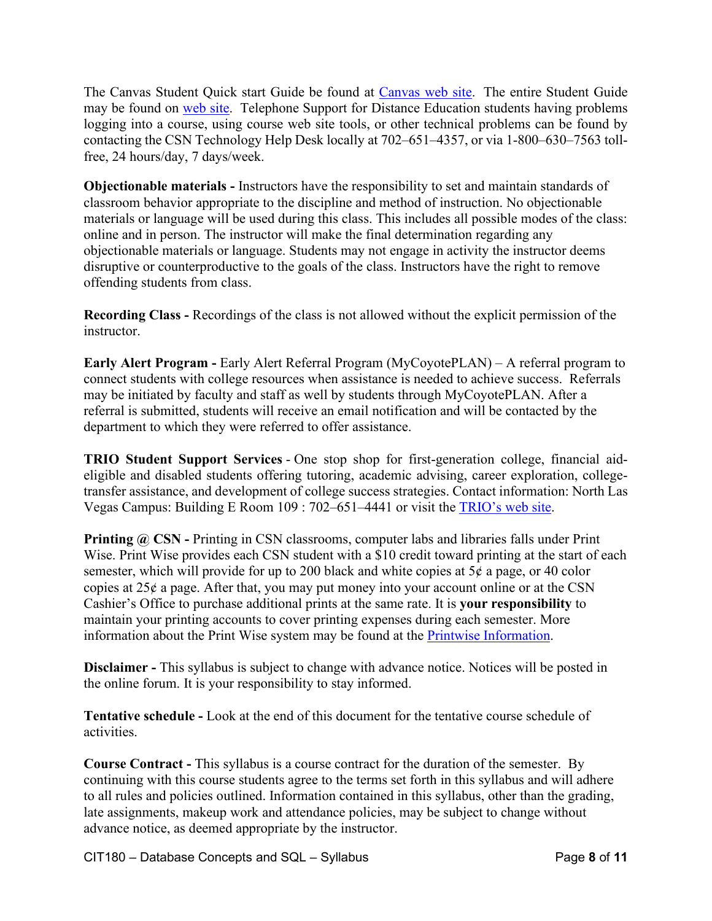The Canvas Student Quick start Guide be found at [Canvas web site.](http://guides.instructure.com/m/8470) The entire Student Guide may be found on [web site.](http://guides.instructure.com/m/4212) Telephone Support for Distance Education students having problems logging into a course, using course web site tools, or other technical problems can be found by contacting the CSN Technology Help Desk locally at 702–651–4357, or via 1-800–630–7563 tollfree, 24 hours/day, 7 days/week.

**Objectionable materials -** Instructors have the responsibility to set and maintain standards of classroom behavior appropriate to the discipline and method of instruction. No objectionable materials or language will be used during this class. This includes all possible modes of the class: online and in person. The instructor will make the final determination regarding any objectionable materials or language. Students may not engage in activity the instructor deems disruptive or counterproductive to the goals of the class. Instructors have the right to remove offending students from class.

**Recording Class -** Recordings of the class is not allowed without the explicit permission of the instructor.

**Early Alert Program -** Early Alert Referral Program (MyCoyotePLAN) – A referral program to connect students with college resources when assistance is needed to achieve success. Referrals may be initiated by faculty and staff as well by students through MyCoyotePLAN. After a referral is submitted, students will receive an email notification and will be contacted by the department to which they were referred to offer assistance.

**TRIO Student Support Services** - One stop shop for first-generation college, financial aideligible and disabled students offering tutoring, academic advising, career exploration, collegetransfer assistance, and development of college success strategies. Contact information: North Las Vegas Campus: Building E Room 109 : 702–651–4441 or visit the [TRIO's web site.](https://www.csn.edu/trio)

**Printing @ CSN - Printing in CSN classrooms, computer labs and libraries falls under Print** Wise. Print Wise provides each CSN student with a \$10 credit toward printing at the start of each semester, which will provide for up to 200 black and white copies at  $5¢$  a page, or 40 color copies at  $25¢$  a page. After that, you may put money into your account online or at the CSN Cashier's Office to purchase additional prints at the same rate. It is **your responsibility** to maintain your printing accounts to cover printing expenses during each semester. More information about the Print Wise system may be found at the [Printwise Information.](http://www.csn.edu/printwise)

**Disclaimer -** This syllabus is subject to change with advance notice. Notices will be posted in the online forum. It is your responsibility to stay informed.

**Tentative schedule -** Look at the end of this document for the tentative course schedule of activities.

**Course Contract -** This syllabus is a course contract for the duration of the semester. By continuing with this course students agree to the terms set forth in this syllabus and will adhere to all rules and policies outlined. Information contained in this syllabus, other than the grading, late assignments, makeup work and attendance policies, may be subject to change without advance notice, as deemed appropriate by the instructor.

CIT180 – Database Concepts and SQL – Syllabus Page **8** of **11**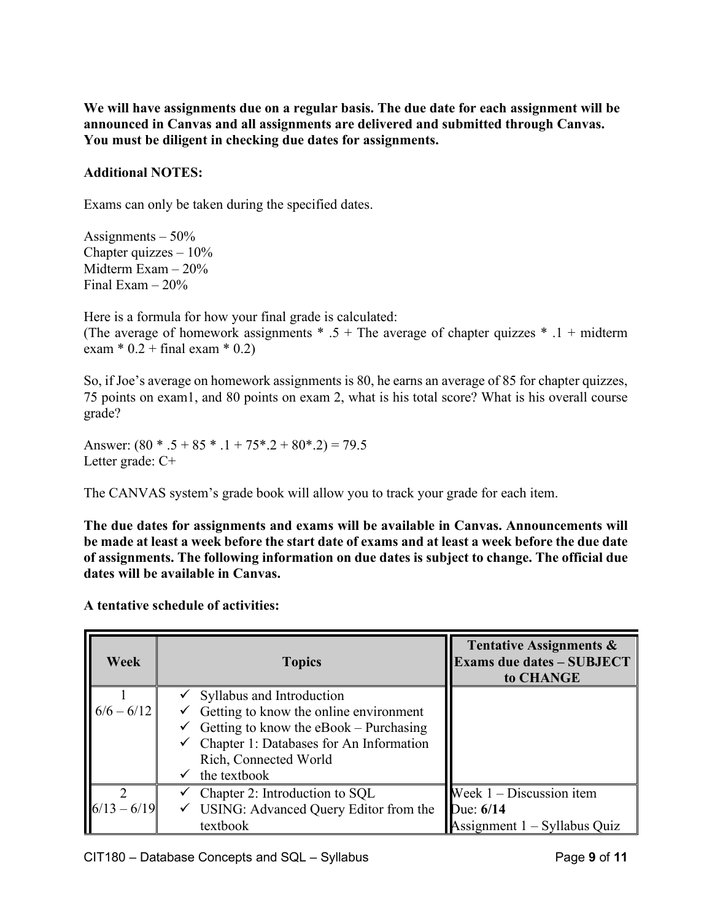**We will have assignments due on a regular basis. The due date for each assignment will be announced in Canvas and all assignments are delivered and submitted through Canvas. You must be diligent in checking due dates for assignments.**

### **Additional NOTES:**

Exams can only be taken during the specified dates.

Assignments  $-50\%$ Chapter quizzes  $-10\%$ Midterm Exam – 20% Final Exam  $-20\%$ 

Here is a formula for how your final grade is calculated: (The average of homework assignments  $* .5 +$ The average of chapter quizzes  $* .1 +$  midterm exam  $* 0.2 + final exam * 0.2)$ 

So, if Joe's average on homework assignments is 80, he earns an average of 85 for chapter quizzes, 75 points on exam1, and 80 points on exam 2, what is his total score? What is his overall course grade?

Answer:  $(80 * .5 + 85 * .1 + 75 * .2 + 80 * .2) = 79.5$ Letter grade: C+

The CANVAS system's grade book will allow you to track your grade for each item.

**The due dates for assignments and exams will be available in Canvas. Announcements will be made at least a week before the start date of exams and at least a week before the due date of assignments. The following information on due dates is subject to change. The official due dates will be available in Canvas.** 

**A tentative schedule of activities:** 

| Week          | <b>Topics</b>                                        | Tentative Assignments &<br><b>Exams due dates - SUBJECT</b><br>to CHANGE |
|---------------|------------------------------------------------------|--------------------------------------------------------------------------|
|               | Syllabus and Introduction                            |                                                                          |
| $6/6 - 6/12$  | $\checkmark$ Getting to know the online environment  |                                                                          |
|               | Getting to know the eBook – Purchasing               |                                                                          |
|               | $\checkmark$ Chapter 1: Databases for An Information |                                                                          |
|               | Rich, Connected World                                |                                                                          |
|               | the textbook                                         |                                                                          |
|               | Chapter 2: Introduction to SQL                       | Week $1 -$ Discussion item                                               |
| $6/13 - 6/19$ | $\checkmark$ USING: Advanced Query Editor from the   | Due: $6/14$                                                              |
|               | textbook                                             | Assignment 1 – Syllabus Quiz                                             |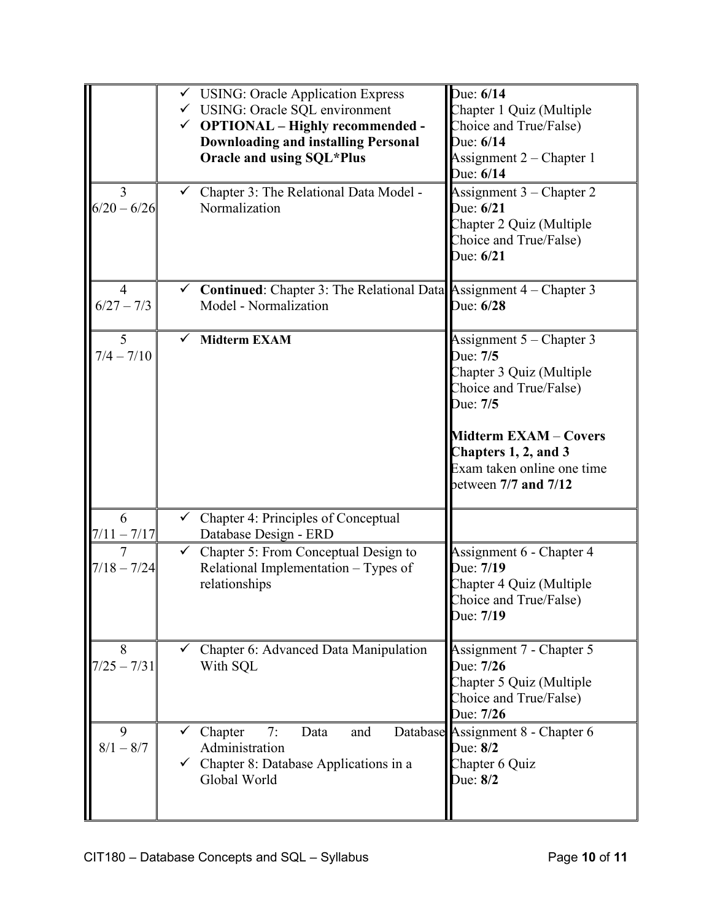|                    | $\checkmark$ USING: Oracle Application Express<br>√ USING: Oracle SQL environment<br>$\checkmark$ OPTIONAL – Highly recommended -<br><b>Downloading and installing Personal</b><br>Oracle and using SQL*Plus | Due: 6/14<br>Chapter 1 Quiz (Multiple<br>Choice and True/False)<br>Due: 6/14<br>Assignment 2 – Chapter 1<br>Due: 6/14                                                                                                      |
|--------------------|--------------------------------------------------------------------------------------------------------------------------------------------------------------------------------------------------------------|----------------------------------------------------------------------------------------------------------------------------------------------------------------------------------------------------------------------------|
| 3<br>$6/20 - 6/26$ | $\checkmark$ Chapter 3: The Relational Data Model -<br>Normalization                                                                                                                                         | Assignment 3 - Chapter 2<br>Due: 6/21<br>Chapter 2 Quiz (Multiple<br>Choice and True/False)<br>Due: 6/21                                                                                                                   |
| 4<br>$6/27 - 7/3$  | $\checkmark$ Continued: Chapter 3: The Relational Data Assignment 4 – Chapter 3<br>Model - Normalization                                                                                                     | Due: 6/28                                                                                                                                                                                                                  |
| 5<br>$7/4 - 7/10$  | <b>Midterm EXAM</b>                                                                                                                                                                                          | Assignment $5$ – Chapter 3<br>Due: 7/5<br>Chapter 3 Quiz (Multiple<br>Choice and True/False)<br>Due: 7/5<br><b>Midterm EXAM - Covers</b><br>Chapters 1, 2, and 3<br>Exam taken online one time<br>between $7/7$ and $7/12$ |
| 6<br>$7/11 - 7/17$ | $\checkmark$ Chapter 4: Principles of Conceptual<br>Database Design - ERD                                                                                                                                    |                                                                                                                                                                                                                            |
| 7<br>$7/18 - 7/24$ | Chapter 5: From Conceptual Design to<br>Relational Implementation - Types of<br>relationships                                                                                                                | Assignment 6 - Chapter 4<br>Due: 7/19<br>Chapter 4 Quiz (Multiple<br>Choice and True/False)<br>Due: 7/19                                                                                                                   |
| 8<br>$7/25 - 7/31$ | Chapter 6: Advanced Data Manipulation<br>With SQL                                                                                                                                                            | Assignment 7 - Chapter 5<br>Due: 7/26<br>Chapter 5 Quiz (Multiple<br>Choice and True/False)<br>Due: 7/26                                                                                                                   |
| 9<br>$8/1 - 8/7$   | Chapter<br>Data<br>7:<br>and<br>Administration<br>$\checkmark$ Chapter 8: Database Applications in a<br>Global World                                                                                         | Database Assignment 8 - Chapter 6<br>Due: 8/2<br>Chapter 6 Quiz<br>Due: 8/2                                                                                                                                                |